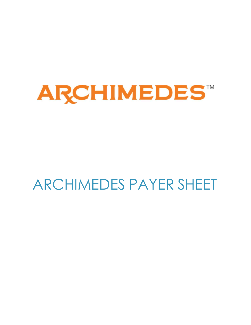

# ARCHIMEDES PAYER SHEET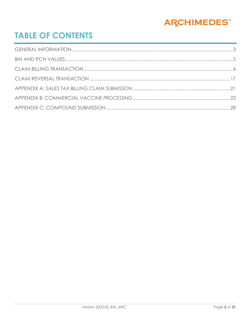

# **TABLE OF CONTENTS**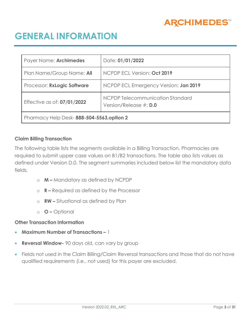

# <span id="page-2-0"></span>**GENERAL INFORMATION**

| Payer Name: Archimedes                    | Date: 01/01/2022                                           |  |  |
|-------------------------------------------|------------------------------------------------------------|--|--|
| Plan Name/Group Name: All                 | NCPDP ECL Version: Oct 2019                                |  |  |
| Processor: RxLogic Software               | NCPDP ECL Emergency Version: Jan 2019                      |  |  |
| Effective as of: 07/01/2022               | NCPDP Telecommunication Standard<br>Version/Release #: D.0 |  |  |
| Pharmacy Help Desk-888-504-5563, option 2 |                                                            |  |  |

### **Claim Billing Transaction**

The following table lists the segments available in a Billing Transaction. Pharmacies are required to submit upper case values on B1/B2 transactions. The table also lists values as defined under Version D.0. The segment summaries included below list the mandatory data fields.

- o **M –** Mandatory as defined by NCPDP
- o **R –** Required as defined by the Processor
- o **RW –** Situational as defined by Plan
- o **O –** Optional

### **Other Transaction Information**

- **Maximum Number of Transactions –** 1
- **Reversal Window-** 90 days old, can vary by group
- Fields not used in the Claim Billing/Claim Reversal transactions and those that do not have qualified requirements (i.e., not used) for this payer are excluded.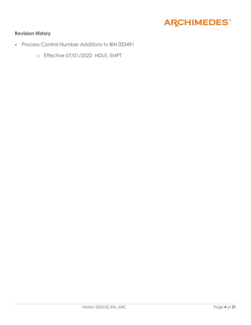

### **Revision History**

- Process Control Number Additions to BIN 023491
	- o Effective 07/01/2022- NDLE, EMPT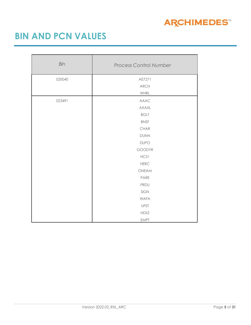

# <span id="page-4-0"></span>**BIN AND PCN VALUES**

| Bin    | <b>Process Control Number</b> |  |  |
|--------|-------------------------------|--|--|
| 020040 | AE7271                        |  |  |
|        | <b>ARCH</b>                   |  |  |
|        | WHRL                          |  |  |
| 023491 | <b>AAAC</b>                   |  |  |
|        | <b>AXAXL</b>                  |  |  |
|        | <b>BGLT</b>                   |  |  |
|        | <b>BNSF</b>                   |  |  |
|        | CHAR                          |  |  |
|        | <b>DUNN</b>                   |  |  |
|        | <b>DUPO</b>                   |  |  |
|        | GOODYR                        |  |  |
|        | HCS1                          |  |  |
|        | <b>HERC</b>                   |  |  |
|        | ONEAM                         |  |  |
|        | PARE                          |  |  |
|        | PRDU                          |  |  |
|        | SIGN                          |  |  |
|        | <b>WAFA</b>                   |  |  |
|        | <b>UPST</b>                   |  |  |
|        | <b>NDLE</b>                   |  |  |
|        | <b>EMPT</b>                   |  |  |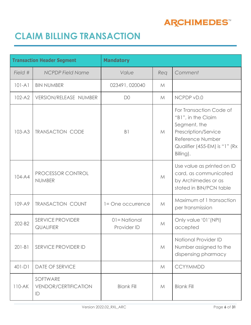

# <span id="page-5-0"></span>**CLAIM BILLING TRANSACTION**

|            | <b>Transaction Header Segment</b>             | <b>Mandatory</b>           |             |                                                                                                                                                          |
|------------|-----------------------------------------------|----------------------------|-------------|----------------------------------------------------------------------------------------------------------------------------------------------------------|
| Field #    | <b>NCPDP Field Name</b>                       | Value                      | Req         | Comment                                                                                                                                                  |
| $101 - A1$ | <b>BIN NUMBER</b>                             | 023491, 020040             | M           |                                                                                                                                                          |
| $102 - A2$ | VERSION/RELEASE NUMBER                        | D <sub>0</sub>             | M           | NCPDP vD.0                                                                                                                                               |
| $103 - A3$ | <b>TRANSACTION CODE</b>                       | B <sub>1</sub>             | M           | For Transaction Code of<br>"B1", in the Claim<br>Segment, the<br>Prescription/Service<br>Reference Number<br>Qualifier (455-EM) is "1" (Rx)<br>Billing). |
| 104-A4     | PROCESSOR CONTROL<br><b>NUMBER</b>            |                            | M           | Use value as printed on ID<br>card, as communicated<br>by Archimedes or as<br>stated in BIN/PCN table                                                    |
| 109-A9     | <b>TRANSACTION COUNT</b>                      | 1= One occurrence          | $M_{\odot}$ | Maximum of 1 transaction<br>per transmission                                                                                                             |
| 202-B2     | <b>SERVICE PROVIDER</b><br><b>QUALIFIER</b>   | 01=National<br>Provider ID | M           | Only value '01' (NPI)<br>accepted                                                                                                                        |
| $201 - B1$ | SERVICE PROVIDER ID                           |                            | M           | <b>National Provider ID</b><br>Number assigned to the<br>dispensing pharmacy                                                                             |
| $401-D1$   | <b>DATE OF SERVICE</b>                        |                            | M           | <b>CCYYMMDD</b>                                                                                                                                          |
| $110 - AK$ | SOFTWARE<br><b>VENDOR/CERTIFICATION</b><br>ID | <b>Blank Fill</b>          | M           | <b>Blank Fill</b>                                                                                                                                        |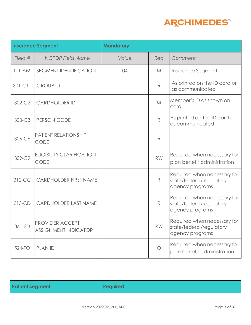

|          | <b>Insurance Segment</b>                              | <b>Mandatory</b> |              |                                                                            |
|----------|-------------------------------------------------------|------------------|--------------|----------------------------------------------------------------------------|
| Field #  | <b>NCPDP Field Name</b>                               | Value            | Req          | Comment                                                                    |
| $111-AM$ | <b>SEGMENT IDENTIFICATION</b>                         | 04               | M            | Insurance Segment                                                          |
| $301-C1$ | <b>GROUP ID</b>                                       |                  | R            | As printed on the ID card or<br>as communicated                            |
| 302-C2   | <b>CARDHOLDER ID</b>                                  |                  | M            | Member's ID as shown on<br>card.                                           |
| 303-C3   | PERSON CODE                                           |                  | $\mathsf{R}$ | As printed on the ID card or<br>as communicated                            |
| 306-C6   | <b>PATIENT RELATIONSHIP</b><br><b>CODE</b>            |                  | R            |                                                                            |
| 309-C9   | <b>ELIGIBILITY CLARIFICATION</b><br><b>CODE</b>       |                  | <b>RW</b>    | Required when necessary for<br>plan benefit administration                 |
| 312-CC   | <b>CARDHOLDER FIRST NAME</b>                          |                  | R            | Required when necessary for<br>state/federal/regulatory<br>agency programs |
| 313-CD   | <b>CARDHOLDER LAST NAME</b>                           |                  | R            | Required when necessary for<br>state/federal/regulatory<br>agency programs |
| 361-2D   | <b>PROVIDER ACCEPT</b><br><b>ASSIGNMENT INDICATOR</b> |                  | <b>RW</b>    | Required when necessary for<br>state/federal/regulatory<br>agency programs |
| 524-FO   | <b>PLAN ID</b>                                        |                  | $\bigcirc$   | Required when necessary for<br>plan benefit administration                 |

| <b>Patient Segment</b> | <b>Required</b> |
|------------------------|-----------------|
|                        |                 |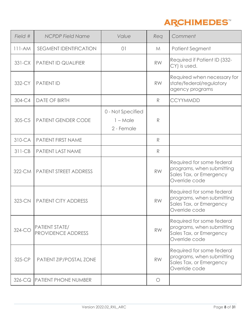

| Field #    | <b>NCPDP Field Name</b>                            | Value                                         | Req          | Comment                                                                                            |
|------------|----------------------------------------------------|-----------------------------------------------|--------------|----------------------------------------------------------------------------------------------------|
| $111-AM$   | <b>SEGMENT IDENTIFICATION</b>                      | O <sub>1</sub>                                | M            | <b>Patient Segment</b>                                                                             |
| $331 - CX$ | <b>PATIENT ID QUALIFIER</b>                        |                                               | <b>RW</b>    | Required if Patient ID (332-<br>CY) is used.                                                       |
| 332-CY     | <b>PATIENT ID</b>                                  |                                               | <b>RW</b>    | Required when necessary for<br>state/federal/regulatory<br>agency programs                         |
| 304-C4     | <b>DATE OF BIRTH</b>                               |                                               | R            | <b>CCYYMMDD</b>                                                                                    |
| $305-C5$   | <b>PATIENT GENDER CODE</b>                         | 0 - Not Specified<br>$1 - Male$<br>2 - Female | R            |                                                                                                    |
| $310 - CA$ | <b>PATIENT FIRST NAME</b>                          |                                               | $\mathbb{R}$ |                                                                                                    |
| $311-CB$   | <b>PATIENT LAST NAME</b>                           |                                               | R            |                                                                                                    |
| 322-CM     | <b>PATIENT STREET ADDRESS</b>                      |                                               | <b>RW</b>    | Required for some federal<br>programs, when submitting<br>Sales Tax, or Emergency<br>Override code |
| 323-CN     | <b>PATIENT CITY ADDRESS</b>                        |                                               | <b>RW</b>    | Required for some federal<br>programs, when submitting<br>Sales Tax, or Emergency<br>Override code |
| $324-CO$   | <b>PATIENT STATE/</b><br><b>PROVIDENCE ADDRESS</b> |                                               | <b>RW</b>    | Required for some federal<br>programs, when submitting<br>Sales Tax, or Emergency<br>Override code |
| 325-CP     | PATIENT ZIP/POSTAL ZONE                            |                                               | <b>RW</b>    | Required for some federal<br>programs, when submitting<br>Sales Tax, or Emergency<br>Override code |
| $326-CQ$   | <b>PATIENT PHONE NUMBER</b>                        |                                               | $\bigcirc$   |                                                                                                    |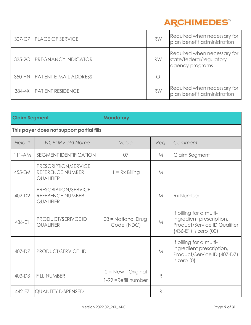

|        | 307-C7 PLACE OF SERVICE       | <b>RW</b> | Required when necessary for<br>plan benefit administration                 |
|--------|-------------------------------|-----------|----------------------------------------------------------------------------|
|        | 335-2C PREGNANCY INDICATOR    | <b>RW</b> | Required when necessary for<br>state/federal/regulatory<br>agency programs |
|        | 350-HN PATIENT E-MAIL ADDRESS |           |                                                                            |
| 384-4X | <b>PATIENT RESIDENCE</b>      | <b>RW</b> | Required when necessary for<br>plan benefit administration                 |

| <b>Claim Segment</b> |                                                                     | <b>Mandatory</b>                             |     |                                                                                                                  |
|----------------------|---------------------------------------------------------------------|----------------------------------------------|-----|------------------------------------------------------------------------------------------------------------------|
|                      | This payer does not support partial fills                           |                                              |     |                                                                                                                  |
| Field #              | <b>NCPDP Field Name</b>                                             | Value                                        | Rea | Comment                                                                                                          |
| $111-AM$             | <b>SEGMENT IDENTIFICATION</b>                                       | 07                                           | M   | Claim Segment                                                                                                    |
| 455-EM               | PRESCRIPTION/SERVICE<br>REFERENCE NUMBER<br><b>QUALIFIER</b>        | $1 = Rx$ Billing                             | M   |                                                                                                                  |
| 402-D2               | PRESCRIPTION/SERVICE<br><b>REFERENCE NUMBER</b><br><b>QUALIFIER</b> |                                              | M   | <b>Rx Number</b>                                                                                                 |
| 436-E1               | PRODUCT/SERIVCE ID<br><b>QUALIFIER</b>                              | $03$ = National Drug<br>Code (NDC)           | M   | If billing for a multi-<br>ingredient prescription,<br>Product/Service ID Qualifier<br>$(436-E1)$ is zero $(00)$ |
| $407-D7$             | PRODUCT/SERVICE ID                                                  |                                              | M   | If billing for a multi-<br>ingredient prescription,<br>Product/Service ID (407-D7)<br>is zero $(0)$              |
| 403-D3               | <b>FILL NUMBER</b>                                                  | $0 = New - Original$<br>1-99 = Refill number | R   |                                                                                                                  |
| 442-E7               | <b>QUANTITY DISPENSED</b>                                           |                                              | R   |                                                                                                                  |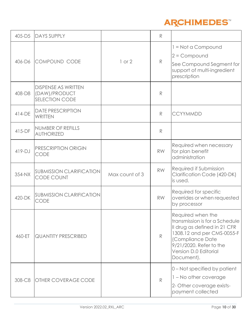

| 405-D5   | <b>DAYS SUPPLY</b>                                                   |                | R            |                                                                                                                                                                                                         |
|----------|----------------------------------------------------------------------|----------------|--------------|---------------------------------------------------------------------------------------------------------------------------------------------------------------------------------------------------------|
| 406-D6   | COMPOUND CODE                                                        | $1$ or $2$     | R            | $1 = Not$ a Compound<br>$2 =$ Compound<br>See Compound Segment for<br>support of multi-ingredient<br>prescription                                                                                       |
| 408-D8   | <b>DISPENSE AS WRITTEN</b><br>(DAW)/PRODUCT<br><b>SELECTION CODE</b> |                | $\mathbb{R}$ |                                                                                                                                                                                                         |
| 414-DE   | <b>DATE PRESCRIPTION</b><br><b>WRITTEN</b>                           |                | R            | <b>CCYYMMDD</b>                                                                                                                                                                                         |
| $415-DF$ | NUMBER OF REFILLS<br><b>AUTHORIZED</b>                               |                | R            |                                                                                                                                                                                                         |
| $419-DJ$ | PRESCRIPTION ORIGIN<br><b>CODE</b>                                   |                | <b>RW</b>    | Required when necessary<br>for plan benefit<br>administration                                                                                                                                           |
| 354-NX   | <b>SUBMISSION CLARIFICATION</b><br><b>CODE COUNT</b>                 | Max count of 3 | <b>RW</b>    | Required if Submission<br>Clarification Code (420-DK)<br>is used.                                                                                                                                       |
| 420-DK   | <b>SUBMISSION CLARIFICATION</b><br><b>CODE</b>                       |                | <b>RW</b>    | Required for specific<br>overrides or when requested<br>by processor                                                                                                                                    |
| 460-ET   | <b>QUANTITY PRESCRIBED</b>                                           |                | $\mathbb{R}$ | Required when the<br>transmission is for a Schedule<br>Il drug as defined in 21 CFR<br>1308.12 and per CMS-0055-F<br>(Compliance Date<br>9/21/2020. Refer to the<br>Version D.0 Editorial<br>Document). |
| 308-C8   | <b>OTHER COVERAGE CODE</b>                                           |                | R            | 0 – Not specified by patient<br>1 – No other coverage<br>2- Other coverage exists-<br>payment collected                                                                                                 |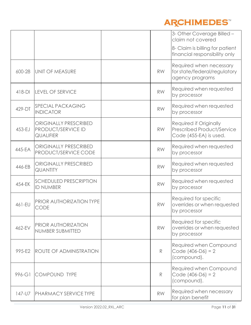

|          |                                                                        |           | 3- Other Coverage Billed -<br>claim not covered                                       |
|----------|------------------------------------------------------------------------|-----------|---------------------------------------------------------------------------------------|
|          |                                                                        |           | 8- Claim is billing for patient<br>financial responsibility only                      |
| 600-28   | UNIT OF MEASURE                                                        | <b>RW</b> | Required when necessary<br>for state/federal/regulatory<br>agency programs            |
| $418-DI$ | <b>LEVEL OF SERVICE</b>                                                | <b>RW</b> | Required when requested<br>by processor                                               |
| 429-DT   | <b>SPECIAL PACKAGING</b><br><b>INDICATOR</b>                           | <b>RW</b> | Required when requested<br>by processor                                               |
| 453-EJ   | <b>ORIGINALLY PRESCRIBED</b><br>PRODUCT/SERVICE ID<br><b>QUALIFIER</b> | <b>RW</b> | Required if Originally<br><b>Prescribed Product/Service</b><br>Code (455-EA) is used. |
| 445-EA   | <b>ORIGINALLY PRESCRIBED</b><br>PRODUCT/SERVICE CODE                   | <b>RW</b> | Required when requested<br>by processor                                               |
| 446-EB   | <b>ORIGINALLY PRESCRIBED</b><br><b>QUANTITY</b>                        | <b>RW</b> | Required when requested<br>by processor                                               |
| 454-EK   | <b>SCHEDULED PRESCRIPTION</b><br><b>ID NUMBER</b>                      | <b>RW</b> | Required when requested<br>by processor                                               |
| 461-EU   | PRIOR AUTHORIZATION TYPE<br><b>CODE</b>                                | <b>RW</b> | Required for specific<br>overrides or when requested<br>by processor                  |
| 462-EV   | PRIOR AUTHORIZATION<br>NUMBER SUBMITTED                                | <b>RW</b> | Required for specific<br>overrides or when requested<br>by processor                  |
| 995-E2   | <b>ROUTE OF ADMINISTRATION</b>                                         | R         | Required when Compound<br>Code $(406-D6) = 2$<br>(compound).                          |
| 996-G1   | <b>COMPOUND TYPE</b>                                                   | R         | Required when Compound<br>Code $(406-D6) = 2$<br>(compound).                          |
| 147-U7   | <b>PHARMACY SERVICE TYPE</b>                                           | <b>RW</b> | Required when necessary<br>for plan benefit                                           |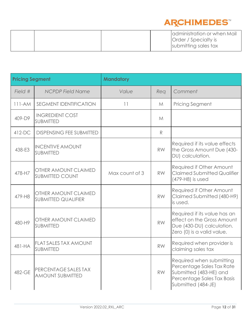

|  | administration or when Mail |
|--|-----------------------------|
|  | <b>Order</b> / Specialty is |
|  | submitting sales tax        |

| <b>Pricing Segment</b> |                                                    | <b>Mandatory</b> |           |                                                                                                                                     |
|------------------------|----------------------------------------------------|------------------|-----------|-------------------------------------------------------------------------------------------------------------------------------------|
| Field #                | <b>NCPDP Field Name</b>                            | Value            | Req       | Comment                                                                                                                             |
| $111-AM$               | <b>SEGMENT IDENTIFICATION</b>                      | 11               | M         | <b>Pricing Segment</b>                                                                                                              |
| 409-D9                 | <b>INGREDIENT COST</b><br><b>SUBMITTED</b>         |                  | M         |                                                                                                                                     |
| $412-DC$               | <b>DISPENSING FEE SUBMITTED</b>                    |                  | R         |                                                                                                                                     |
| 438-E3                 | <b>INCENTIVE AMOUNT</b><br><b>SUBMITTED</b>        |                  | <b>RW</b> | Required if its value effects<br>the Gross Amount Due (430-<br>DU) calculation.                                                     |
| 478-H7                 | OTHER AMOUNT CLAIMED<br><b>SUBMITTED COUNT</b>     | Max count of 3   | <b>RW</b> | Required if Other Amount<br><b>Claimed Submitted Qualifier</b><br>(479-H8) is used                                                  |
| 479-H8                 | OTHER AMOUNT CLAIMED<br><b>SUBMITTED QUALIFIER</b> |                  | <b>RW</b> | Required if Other Amount<br>Claimed Submitted (480-H9)<br>is used.                                                                  |
| 480-H9                 | OTHER AMOUNT CLAIMED<br><b>SUBMITTED</b>           |                  | <b>RW</b> | Required if its value has an<br>effect on the Gross Amount<br>Due (430-DU) calculation.<br>Zero (0) is a valid value.               |
| 481-HA                 | <b>FLAT SALES TAX AMOUNT</b><br>SUBMITTED          |                  | <b>RW</b> | Required when provider is<br>claiming sales tax                                                                                     |
| 482-GE                 | PERCENTAGE SALES TAX<br><b>AMOUNT SUBMITTED</b>    |                  | RW.       | Required when submitting<br>Percentage Sales Tax Rate<br>Submitted (483-HE) and<br>Percentage Sales Tax Basis<br>Submitted (484-JE) |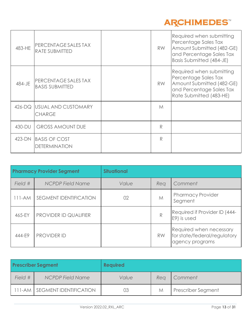

| 483-HE | PERCENTAGE SALES TAX<br><b>RATE SUBMITTED</b>  | <b>RW</b> | Required when submitting<br>Percentage Sales Tax<br>Amount Submitted (482-GE)<br>and Percentage Sales Tax<br>Basis Submitted (484-JE) |
|--------|------------------------------------------------|-----------|---------------------------------------------------------------------------------------------------------------------------------------|
| 484-JE | PERCENTAGE SALES TAX<br><b>BASIS SUBMITTED</b> | <b>RW</b> | Required when submitting<br>Percentage Sales Tax<br>Amount Submitted (482-GE)<br>and Percentage Sales Tax<br>Rate Submitted (483-HE)  |
|        | 426-DQ USUAL AND CUSTOMARY<br><b>CHARGE</b>    | M         |                                                                                                                                       |
| 430-DU | <b>GROSS AMOUNT DUE</b>                        | R         |                                                                                                                                       |
|        | 423-DN BASIS OF COST<br><b>DETERMINATION</b>   | R         |                                                                                                                                       |

| <b>Pharmacy Provider Segment</b> |                               | <b>Situational</b> |           |                                                                            |
|----------------------------------|-------------------------------|--------------------|-----------|----------------------------------------------------------------------------|
| Field #                          | <b>NCPDP Field Name</b>       | Value              | Rea       | Comment                                                                    |
| 111-AM                           | <b>SEGMENT IDENTIFICATION</b> | 02                 | M         | <b>Pharmacy Provider</b><br>Segment                                        |
| 465-EY                           | PROVIDER ID QUALIFIER         |                    | R         | Required if Provider ID (444-<br>E9) is used                               |
| 444-E9                           | <b>PROVIDER ID</b>            |                    | <b>RW</b> | Required when necessary<br>for state/federal/regulatory<br>agency programs |

| <b>Prescriber Segment</b> |                               | <b>Required</b> |     |                           |
|---------------------------|-------------------------------|-----------------|-----|---------------------------|
| Field #                   | <b>NCPDP Field Name</b>       | Value           | Rea | Comment                   |
|                           | 111-AM SEGMENT IDENTIFICATION | 03              | M   | <b>Prescriber Segment</b> |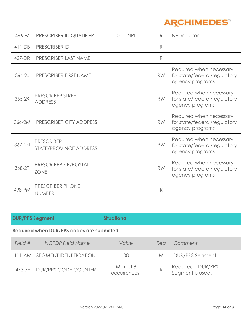

| 466-EZ   | PRESCRIBER ID QUALIFIER                     | $01 - NP$ | R         | NPI required                                                               |
|----------|---------------------------------------------|-----------|-----------|----------------------------------------------------------------------------|
| $411-DB$ | <b>PRESCRIBER ID</b>                        |           | R         |                                                                            |
| 427-DR   | PRESCRIBER LAST NAME                        |           | R         |                                                                            |
| $364-2J$ | PRESCRIBER FIRST NAME                       |           | <b>RW</b> | Required when necessary<br>for state/federal/regulatory<br>agency programs |
| 365-2K   | <b>PRESCRIBER STREET</b><br><b>ADDRESS</b>  |           | <b>RW</b> | Required when necessary<br>for state/federal/regulatory<br>agency programs |
| 366-2M   | <b>PRESCRIBER CITY ADDRESS</b>              |           | <b>RW</b> | Required when necessary<br>for state/federal/regulatory<br>agency programs |
| 367-2N   | <b>PRESCRIBER</b><br>STATE/PROVINCE ADDRESS |           | <b>RW</b> | Required when necessary<br>for state/federal/regulatory<br>agency programs |
| 368-2P   | PRESCRIBER ZIP/POSTAL<br><b>ZONE</b>        |           | <b>RW</b> | Required when necessary<br>for state/federal/regulatory<br>agency programs |
| 498-PM   | PRESCRIBER PHONE<br><b>NUMBER</b>           |           | R         |                                                                            |

| <b>DUR/PPS Segment</b>                    |                               | <b>Situational</b>      |     |                                                |
|-------------------------------------------|-------------------------------|-------------------------|-----|------------------------------------------------|
| Required when DUR/PPS codes are submitted |                               |                         |     |                                                |
| Field #                                   | <b>NCPDP Field Name</b>       | Value                   | Rea | Comment                                        |
| $111-AM$                                  | <b>SEGMENT IDENTIFICATION</b> | 08                      | M   | <b>DUR/PPS Segment</b>                         |
| 473-7E                                    | <b>DUR/PPS CODE COUNTER</b>   | Max of 9<br>occurrences | R   | <b>Required if DUR/PPS</b><br>Segment is used. |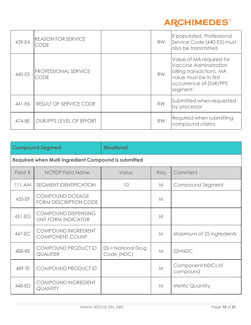

| 439-E4 | <b>REASON FOR SERVICE</b><br>CODE          | <b>RW</b> | If populated, Professional<br>Service Code (440-E5) must<br>also be transmitted                                                              |
|--------|--------------------------------------------|-----------|----------------------------------------------------------------------------------------------------------------------------------------------|
| 440-E5 | <b>PROFESSIONAL SERVICE</b><br><b>CODE</b> | <b>RW</b> | Value of MA required for<br>Vaccine Administration<br>billing transactions. MA<br>value must be in first<br>occurrence of DUR/PPS<br>segment |
| 441-E6 | RESULT OF SERVICE CODE                     | <b>RW</b> | Submitted when requested<br>by processor                                                                                                     |
| 474-8E | DUR/PPS LEVEL OF EFFORT                    | <b>RW</b> | Required when submitting<br>compound claims                                                                                                  |

|          | <b>Compound Segment</b>                                | <b>Situational</b>                 |              |                               |  |  |
|----------|--------------------------------------------------------|------------------------------------|--------------|-------------------------------|--|--|
|          | Required when Multi Ingredient Compound is submitted   |                                    |              |                               |  |  |
| Field #  | <b>NCPDP Field Name</b>                                | Value                              | Req          | Comment                       |  |  |
| $111-AM$ | <b>SEGMENT IDENTIFICATION</b>                          | 10                                 | M            | Compound Segment              |  |  |
| 450-EF   | <b>COMPOUND DOSAGE</b><br><b>FORM DESCRIPTION CODE</b> |                                    | $M_{\odot}$  |                               |  |  |
| $451-EG$ | COMPOUND DISPENSING<br>UNIT FORM INDICATOR             |                                    | M            |                               |  |  |
| 447-EC   | <b>COMPOUND INGREDIENT</b><br><b>COMPONENT COUNT</b>   |                                    | $M_{\odot}$  | Maximum of 25 ingredients     |  |  |
| 488-RE   | COMPOUND PRODUCT ID<br><b>QUALIFIER</b>                | $03$ = National Drug<br>Code (NDC) | $\mathcal M$ | $03 = NDC$                    |  |  |
| 489-TE   | COMPOUND PRODUCT ID                                    |                                    | M            | Component NDCs of<br>compound |  |  |
| 448-ED   | <b>COMPOUND INGREDIENT</b><br><b>QUANTITY</b>          |                                    | $\mathcal M$ | <b>Metric Quantity</b>        |  |  |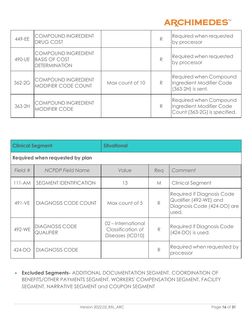

| 449-EE     | COMPOUND INGREDIENT<br><b>DRUG COST</b>                                    |                 | R            | Required when requested<br>by processor                                                   |
|------------|----------------------------------------------------------------------------|-----------------|--------------|-------------------------------------------------------------------------------------------|
| 490-UE     | <b>COMPOUND INGREDIENT</b><br><b>BASIS OF COST</b><br><b>DETERMINATION</b> |                 | $\mathbb{R}$ | Required when requested<br>by processor                                                   |
| $362 - 2G$ | COMPOUND INGREDIENT<br><b>MODIFIER CODE COUNT</b>                          | Max count of 10 | R            | <b>Required when Compound</b><br>Ingredient Modifier Code<br>$(363-2H)$ is sent.          |
| 363-2H     | <b>COMPOUND INGREDIENT</b><br><b>MODIFIER CODE</b>                         |                 | $\mathbb{R}$ | <b>Required when Compound</b><br>Ingredient Modifier Code<br>Count (363-2G) is specified. |

| <b>Clinical Segment</b> |                                           | <b>Situational</b>                                        |              |                                                                                              |  |  |
|-------------------------|-------------------------------------------|-----------------------------------------------------------|--------------|----------------------------------------------------------------------------------------------|--|--|
|                         | Required when requested by plan           |                                                           |              |                                                                                              |  |  |
| Field #                 | <b>NCPDP Field Name</b>                   | Value                                                     | Req          | Comment                                                                                      |  |  |
| $111-AM$                | <b>SEGMENT IDENTIFICATION</b>             | 13                                                        | M            | <b>Clinical Segment</b>                                                                      |  |  |
| 491-VE                  | <b>DIAGNOSIS CODE COUNT</b>               | Max count of 5                                            | R            | Required if Diagnosis Code<br>Qualifier (492-WE) and<br>Diagnosis Code (424-DO) are<br>used. |  |  |
| 492-WE                  | <b>DIAGNOSIS CODE</b><br><b>QUALIFIER</b> | 02-International<br>Classification of<br>Diseases (ICD10) | $\mathsf{R}$ | <b>Required if Diagnosis Code</b><br>(424-DO) is used.                                       |  |  |
| $424-DO$                | <b>DIAGNOSIS CODE</b>                     |                                                           | R            | Required when requested by<br>processor                                                      |  |  |

• **Excluded Segments-** ADDITIONAL DOCUMENTATION SEGMENT, COORDINATION OF BENEFITS/OTHER PAYMENTS SEGMENT, WORKERS' COMPENSATION SEGMENT, FACILITY SEGMENT, NARRATIVE SEGMENT and COUPON SEGMENT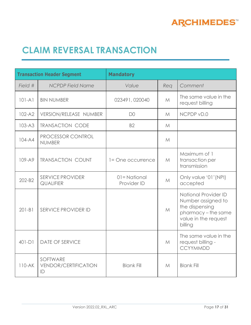

# <span id="page-16-0"></span>**CLAIM REVERSAL TRANSACTION**

| <b>Transaction Header Segment</b> |                                               | <b>Mandatory</b>           |              |                                                                                                                      |
|-----------------------------------|-----------------------------------------------|----------------------------|--------------|----------------------------------------------------------------------------------------------------------------------|
| Field #                           | <b>NCPDP Field Name</b>                       | Value                      | Req          | Comment                                                                                                              |
| $101 - A1$                        | <b>BIN NUMBER</b>                             | 023491,020040              | $M_{\odot}$  | The same value in the<br>request billing                                                                             |
| $102 - A2$                        | VERSION/RELEASE NUMBER                        | D <sub>0</sub>             | $\mathcal M$ | NCPDP vD.0                                                                                                           |
| $103 - A3$                        | <b>TRANSACTION CODE</b>                       | <b>B2</b>                  | $\mathcal M$ |                                                                                                                      |
| $104 - A4$                        | PROCESSOR CONTROL<br><b>NUMBER</b>            |                            | M            |                                                                                                                      |
| $109 - A9$                        | <b>TRANSACTION COUNT</b>                      | 1= One occurrence          | M            | Maximum of 1<br>transaction per<br>transmission                                                                      |
| 202-B2                            | <b>SERVICE PROVIDER</b><br><b>QUALIFIER</b>   | 01=National<br>Provider ID | M            | Only value '01' (NPI)<br>accepted                                                                                    |
| $201 - B1$                        | SERVICE PROVIDER ID                           |                            | M            | National Provider ID<br>Number assigned to<br>the dispensing<br>pharmacy-the same<br>value in the request<br>billing |
| $401-D1$                          | <b>DATE OF SERVICE</b>                        |                            | M            | The same value in the<br>request billing -<br><b>CCYYMMDD</b>                                                        |
| $110-AK$                          | SOFTWARE<br><b>VENDOR/CERTIFICATION</b><br>ID | <b>Blank Fill</b>          | M            | <b>Blank Fill</b>                                                                                                    |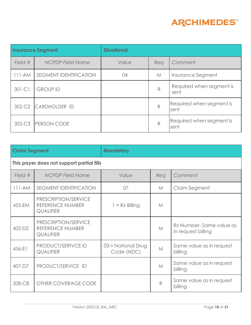

| <b>Insurance Segment</b> |                               | <b>Situational</b> |     |                                  |
|--------------------------|-------------------------------|--------------------|-----|----------------------------------|
| Field #                  | <b>NCPDP Field Name</b>       | Value              | Rea | Comment                          |
| $111-AM$                 | <b>SEGMENT IDENTIFICATION</b> | 04                 | M   | Insurance Segment                |
| $301-C1$                 | <b>GROUP ID</b>               |                    | R   | Required when segment is<br>sent |
| 302-C2                   | CARDHOLDER ID                 |                    | R   | Required when segment is<br>sent |
| 303-C3                   | <b>PERSON CODE</b>            |                    | R   | Required when segment is<br>sent |

| <b>Claim Segment</b><br><b>Mandatory</b>  |                                                              |                                    |              |                                               |  |
|-------------------------------------------|--------------------------------------------------------------|------------------------------------|--------------|-----------------------------------------------|--|
| This payer does not support partial fills |                                                              |                                    |              |                                               |  |
| Field #                                   | <b>NCPDP Field Name</b>                                      | Value                              | Req          | Comment                                       |  |
| $111-AM$                                  | <b>SEGMENT IDENTIFICATION</b>                                | 07                                 | $M_{\odot}$  | Claim Segment                                 |  |
| 455-EM                                    | PRESCRIPTION/SERVICE<br>REFERENCE NUMBER<br><b>QUALIFIER</b> | $1 = Rx$ Billing                   | M            |                                               |  |
| 402-D2                                    | PRESCRIPTION/SERVICE<br>REFERENCE NUMBER<br><b>QUALIFIER</b> |                                    | M            | Rx Number-Same value as<br>in request billing |  |
| 436-E1                                    | PRODUCT/SERIVCE ID<br><b>QUALIFIER</b>                       | $03$ = National Drug<br>Code (NDC) | M            | Same value as in request<br>billing           |  |
| 407-D7                                    | PRODUCT/SERVICE ID                                           |                                    | M            | Same value as in request<br>billing           |  |
| 308-C8                                    | OTHER COVERAGE CODE                                          |                                    | $\mathbb{R}$ | Same value as in request<br>billing           |  |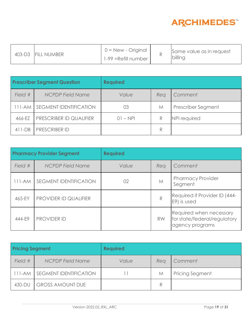

|  | 403-D3 FILL NUMBER | $0 = New - Original$<br>1-99 = Refill number |  | Same value as in request<br>billing |
|--|--------------------|----------------------------------------------|--|-------------------------------------|
|--|--------------------|----------------------------------------------|--|-------------------------------------|

| <b>Prescriber Segment Question</b> |                               | <b>Required</b> |     |                    |
|------------------------------------|-------------------------------|-----------------|-----|--------------------|
| Field #                            | <b>NCPDP Field Name</b>       | Value           | Rea | Comment            |
| 111-AM                             | <b>SEGMENT IDENTIFICATION</b> | 03              | M   | Prescriber Segment |
| 466-EZ                             | PRESCRIBER ID QUALIFIER       | $01 - NPI$      | R   | NPI required       |
| $411-DB$                           | <b>PRESCRIBER ID</b>          |                 | R   |                    |

| <b>Pharmacy Provider Segment</b> |                               | <b>Required</b> |              |                                                                            |
|----------------------------------|-------------------------------|-----------------|--------------|----------------------------------------------------------------------------|
| Field #                          | <b>NCPDP Field Name</b>       | Value           | Rea          | Comment                                                                    |
| $111-AM$                         | <b>SEGMENT IDENTIFICATION</b> | 02              | M            | <b>Pharmacy Provider</b><br>Segment                                        |
| 465-EY                           | PROVIDER ID QUALIFIER         |                 | $\mathbb{R}$ | Required if Provider ID (444-<br>E9) is used                               |
| 444-E9                           | <b>PROVIDER ID</b>            |                 | <b>RW</b>    | Required when necessary<br>for state/federal/regulatory<br>agency programs |

| <b>Pricing Segment</b> |                               | <b>Required</b> |     |                        |
|------------------------|-------------------------------|-----------------|-----|------------------------|
| Field #                | <b>NCPDP Field Name</b>       | Value           | Rea | Comment                |
|                        | 111-AM SEGMENT IDENTIFICATION |                 | M   | <b>Pricing Segment</b> |
| 430-DU                 | <b>GROSS AMOUNT DUE</b>       |                 |     |                        |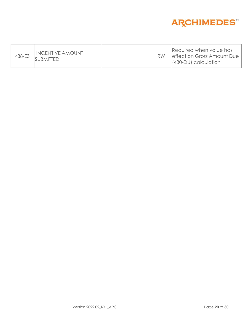

| 438-E3 | <b>INCENTIVE AMOUNT</b><br>SUBMITTED |  |  | Required when value has<br>leffect on Gross Amount Due<br>$(430-DU)$ calculation |
|--------|--------------------------------------|--|--|----------------------------------------------------------------------------------|
|--------|--------------------------------------|--|--|----------------------------------------------------------------------------------|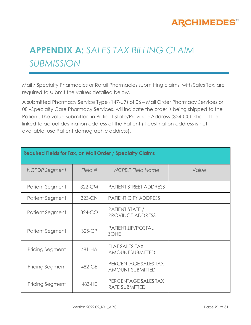

# **APPENDIX A:** *SALES TAX BILLING CLAIM SUBMISSION*

Mail / Specialty Pharmacies or Retail Pharmacies submitting claims, with Sales Tax, are required to submit the values detailed below.

A submitted Pharmacy Service Type (147-U7) of 06 – Mail Order Pharmacy Services or 08 –Specialty Care Pharmacy Services, will indicate the order is being shipped to the Patient. The value submitted in Patient State/Province Address (324-CO) should be linked to actual destination address of the Patient (if destination address is not available, use Patient demographic address).

| <b>Required Fields for Tax, on Mail Order / Specialty Claims</b> |         |                                                  |       |  |  |
|------------------------------------------------------------------|---------|--------------------------------------------------|-------|--|--|
| NCPDP Segment                                                    | Field # | <b>NCPDP Field Name</b>                          | Value |  |  |
| Patient Segment                                                  | 322-CM  | <b>PATIENT STREET ADDRESS</b>                    |       |  |  |
| Patient Segment                                                  | 323-CN  | <b>PATIENT CITY ADDRESS</b>                      |       |  |  |
| Patient Segment                                                  | 324-CO  | PATIENT STATE /<br><b>PROVINCE ADDRESS</b>       |       |  |  |
| Patient Segment                                                  | 325-CP  | PATIENT ZIP/POSTAL<br><b>ZONE</b>                |       |  |  |
| <b>Pricing Segment</b>                                           | 481-HA  | <b>FLAT SALES TAX</b><br><b>AMOUNT SUBMITTED</b> |       |  |  |
| <b>Pricing Segment</b>                                           | 482-GE  | PERCENTAGE SALES TAX<br><b>AMOUNT SUBMITTED</b>  |       |  |  |
| <b>Pricing Segment</b>                                           | 483-HE  | PERCENTAGE SALES TAX<br><b>RATE SUBMITTED</b>    |       |  |  |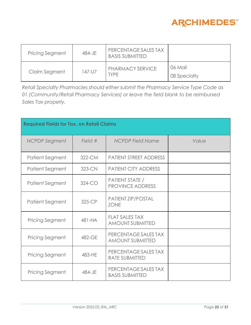

| <b>Pricing Segment</b> | 484-JE | PERCENTAGE SALES TAX<br><b>BASIS SUBMITTED</b> |                         |
|------------------------|--------|------------------------------------------------|-------------------------|
| Claim Segment          | 147-U7 | PHARMACY SERVICE<br>TYPF.                      | 06 Mail<br>08 Specialty |

*Retail Specialty Pharmacies should either submit the Pharmacy Service Type Code as 01 (Community/Retail Pharmacy Services) or leave the field blank to be reimbursed Sales Tax properly.*

| <b>Required Fields for Tax, on Retail Claims</b> |          |                                                  |       |  |  |
|--------------------------------------------------|----------|--------------------------------------------------|-------|--|--|
| <b>NCPDP</b> Segment                             | Field #  | <b>NCPDP Field Name</b>                          | Value |  |  |
| Patient Segment                                  | 322-CM   | <b>PATIENT STREET ADDRESS</b>                    |       |  |  |
| Patient Segment                                  | 323-CN   | <b>PATIENT CITY ADDRESS</b>                      |       |  |  |
| Patient Segment                                  | $324-CO$ | PATIENT STATE /<br><b>PROVINCE ADDRESS</b>       |       |  |  |
| Patient Segment                                  | 325-CP   | PATIENT ZIP/POSTAL<br><b>ZONE</b>                |       |  |  |
| <b>Pricing Segment</b>                           | 481-HA   | <b>FLAT SALES TAX</b><br><b>AMOUNT SUBMITTED</b> |       |  |  |
| <b>Pricing Segment</b>                           | 482-GE   | PERCENTAGE SALES TAX<br><b>AMOUNT SUBMITTED</b>  |       |  |  |
| <b>Pricing Segment</b>                           | 483-HE   | PERCENTAGE SALES TAX<br><b>RATE SUBMITTED</b>    |       |  |  |
| <b>Pricing Segment</b>                           | 484-JE   | PERCENTAGE SALES TAX<br><b>BASIS SUBMITTED</b>   |       |  |  |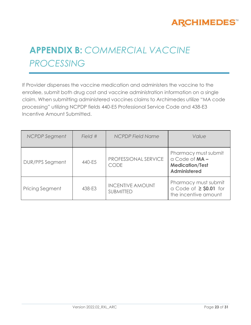

# **APPENDIX B:** *COMMERCIAL VACCINE PROCESSING*

If Provider dispenses the vaccine medication and administers the vaccine to the enrollee, submit both drug cost and vaccine administration information on a single claim. When submitting administered vaccines claims to Archimedes utilize "MA code processing" utilizing NCPDP fields 440-E5 Professional Service Code and 438-E3 Incentive Amount Submitted.

| <b>NCPDP</b> Segment   | Field # | <b>NCPDP Field Name</b>                     | Value                                                                                       |
|------------------------|---------|---------------------------------------------|---------------------------------------------------------------------------------------------|
| <b>DUR/PPS Segment</b> | 440-E5  | PROFESSIONAL SERVICE<br><b>CODE</b>         | Pharmacy must submit<br>$a$ Code of $MA -$<br><b>Medication/Test</b><br><b>Administered</b> |
| Pricing Segment        | 438-E3  | <b>INCENTIVE AMOUNT</b><br><b>SUBMITTED</b> | Pharmacy must submit<br>a Code of $\geq$ \$0.01 for<br>the incentive amount                 |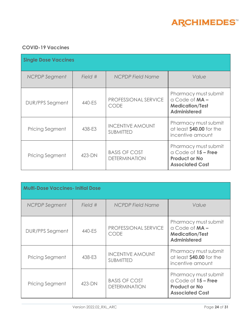

### **COVID-19 Vaccines**

| <b>Single Dose Vaccines</b> |         |                                              |                                                                                                   |  |  |
|-----------------------------|---------|----------------------------------------------|---------------------------------------------------------------------------------------------------|--|--|
| <b>NCPDP</b> Segment        | Field # | <b>NCPDP Field Name</b>                      | Value                                                                                             |  |  |
| DUR/PPS Segment             | 440-E5  | PROFESSIONAL SERVICE<br><b>CODE</b>          | Pharmacy must submit<br>$a$ Code of $MA -$<br><b>Medication/Test</b><br><b>Administered</b>       |  |  |
| <b>Pricing Segment</b>      | 438-E3  | <b>INCENTIVE AMOUNT</b><br><b>SUBMITTED</b>  | Pharmacy must submit<br>at least \$40.00 for the<br>incentive amount                              |  |  |
| Pricing Segment             | 423-DN  | <b>BASIS OF COST</b><br><b>DETERMINATION</b> | Pharmacy must submit<br>$a$ Code of $15$ – Free<br><b>Product or No</b><br><b>Associated Cost</b> |  |  |

| <b>Multi-Dose Vaccines-Initial Dose</b> |           |                                              |                                                                                                   |  |  |  |
|-----------------------------------------|-----------|----------------------------------------------|---------------------------------------------------------------------------------------------------|--|--|--|
| NCPDP Segment                           | Field $#$ | <b>NCPDP Field Name</b>                      | Value                                                                                             |  |  |  |
| <b>DUR/PPS Segment</b>                  | 440-E5    | PROFESSIONAL SERVICE<br><b>CODE</b>          | Pharmacy must submit<br>$a$ Code of $MA -$<br><b>Medication/Test</b><br><b>Administered</b>       |  |  |  |
| <b>Pricing Segment</b>                  | 438-E3    | <b>INCENTIVE AMOUNT</b><br><b>SUBMITTED</b>  | Pharmacy must submit<br>at least \$40.00 for the<br>incentive amount                              |  |  |  |
| <b>Pricing Segment</b>                  | 423-DN    | <b>BASIS OF COST</b><br><b>DETERMINATION</b> | Pharmacy must submit<br>$a$ Code of $15$ – Free<br><b>Product or No</b><br><b>Associated Cost</b> |  |  |  |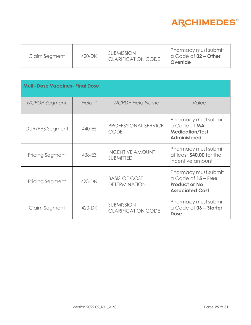

| Claim Segment | 420-DK | <b>SUBMISSION</b><br><b>CLARIFICATION CODE</b> | Pharmacy must submit<br>$\alpha$ Code of $02 -$ Other<br>Override |
|---------------|--------|------------------------------------------------|-------------------------------------------------------------------|
|---------------|--------|------------------------------------------------|-------------------------------------------------------------------|

| <b>Multi-Dose Vaccines- Final Dose</b> |         |                                                |                                                                                               |  |
|----------------------------------------|---------|------------------------------------------------|-----------------------------------------------------------------------------------------------|--|
| <b>NCPDP</b> Segment                   | Field # | <b>NCPDP Field Name</b>                        | Value                                                                                         |  |
| <b>DUR/PPS Segment</b>                 | 440-E5  | PROFESSIONAL SERVICE<br><b>CODE</b>            | Pharmacy must submit<br>$a$ Code of $MA -$<br><b>Medication/Test</b><br><b>Administered</b>   |  |
| <b>Pricing Segment</b>                 | 438-E3  | <b>INCENTIVE AMOUNT</b><br><b>SUBMITTED</b>    | Pharmacy must submit<br>at least \$40.00 for the<br>incentive amount                          |  |
| <b>Pricing Segment</b>                 | 423-DN  | <b>BASIS OF COST</b><br><b>DETERMINATION</b>   | Pharmacy must submit<br>a Code of 15 - Free<br><b>Product or No</b><br><b>Associated Cost</b> |  |
| Claim Segment                          | 420-DK  | <b>SUBMISSION</b><br><b>CLARIFICATION CODE</b> | Pharmacy must submit<br>a Code of 06 - Starter<br><b>Dose</b>                                 |  |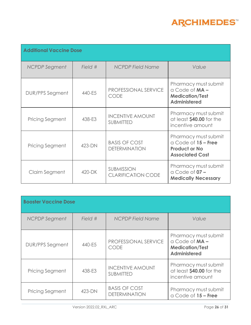

| <b>Additional Vaccine Dose</b> |         |                                                |                                                                                                   |  |
|--------------------------------|---------|------------------------------------------------|---------------------------------------------------------------------------------------------------|--|
| <b>NCPDP</b> Segment           | Field # | <b>NCPDP Field Name</b>                        | Value                                                                                             |  |
| <b>DUR/PPS Segment</b>         | 440-E5  | PROFESSIONAL SERVICE<br><b>CODE</b>            | Pharmacy must submit<br>$a$ Code of $MA -$<br><b>Medication/Test</b><br><b>Administered</b>       |  |
| <b>Pricing Segment</b>         | 438-E3  | <b>INCENTIVE AMOUNT</b><br><b>SUBMITTED</b>    | Pharmacy must submit<br>at least \$40.00 for the<br>incentive amount                              |  |
| <b>Pricing Segment</b>         | 423-DN  | <b>BASIS OF COST</b><br><b>DETERMINATION</b>   | Pharmacy must submit<br>$a$ Code of $15$ – Free<br><b>Product or No</b><br><b>Associated Cost</b> |  |
| Claim Segment                  | 420-DK  | <b>SUBMISSION</b><br><b>CLARIFICATION CODE</b> | Pharmacy must submit<br>$\alpha$ Code of $07 -$<br><b>Medically Necessary</b>                     |  |

| <b>Booster Vaccine Dose</b> |           |                                              |                                                                                        |  |
|-----------------------------|-----------|----------------------------------------------|----------------------------------------------------------------------------------------|--|
| NCPDP Segment               | Field $#$ | <b>NCPDP Field Name</b>                      | Value                                                                                  |  |
| <b>DUR/PPS Segment</b>      | 440-E5    | PROFESSIONAL SERVICE<br><b>CODE</b>          | Pharmacy must submit<br>a Code of MA-<br><b>Medication/Test</b><br><b>Administered</b> |  |
| Pricing Segment             | 438-E3    | <b>INCENTIVE AMOUNT</b><br><b>SUBMITTED</b>  | Pharmacy must submit<br>at least \$40.00 for the<br>incentive amount                   |  |
| <b>Pricing Segment</b>      | 423-DN    | <b>BASIS OF COST</b><br><b>DETERMINATION</b> | Pharmacy must submit<br>$a$ Code of $15$ – Free                                        |  |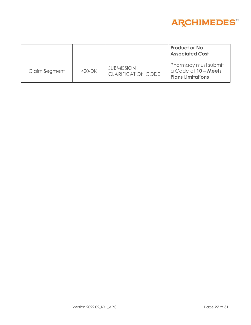

|               |        |                                         | <b>Product or No</b><br><b>Associated Cost</b>                           |
|---------------|--------|-----------------------------------------|--------------------------------------------------------------------------|
| Claim Segment | 420-DK | <b>SUBMISSION</b><br>CLARIFICATION CODE | Pharmacy must submit<br>a Code of 10 - Meets<br><b>Plans Limitations</b> |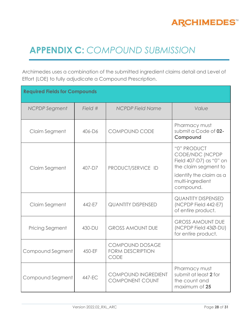

# **APPENDIX C:** *COMPOUND SUBMISSION*

Archimedes uses a combination of the submitted ingredient claims detail and Level of Effort (LOE) to fully adjudicate a Compound Prescription.

| <b>Required Fields for Compounds</b> |         |                                                                  |                                                                                                                                               |  |
|--------------------------------------|---------|------------------------------------------------------------------|-----------------------------------------------------------------------------------------------------------------------------------------------|--|
| <b>NCPDP</b> Segment                 | Field # | <b>NCPDP Field Name</b>                                          | Value                                                                                                                                         |  |
| Claim Segment                        | 406-D6  | <b>COMPOUND CODE</b>                                             | Pharmacy must<br>submit a Code of 02-<br>Compound                                                                                             |  |
| Claim Segment                        | 407-D7  | PRODUCT/SERVICE ID                                               | "0" PRODUCT<br>CODE/NDC (NCPDP<br>Field 407-D7) as "0" on<br>the claim segment to<br>identify the claim as a<br>multi-ingredient<br>compound. |  |
| Claim Segment                        | 442-E7  | <b>QUANTITY DISPENSED</b>                                        | <b>QUANTITY DISPENSED</b><br>(NCPDP Field 442-E7)<br>of entire product.                                                                       |  |
| <b>Pricing Segment</b>               | 430-DU  | <b>GROSS AMOUNT DUE</b>                                          | <b>GROSS AMOUNT DUE</b><br>(NCPDP Field 43Ø-DU)<br>for entire product.                                                                        |  |
| Compound Segment                     | 450-EF  | <b>COMPOUND DOSAGE</b><br><b>FORM DESCRIPTION</b><br><b>CODE</b> |                                                                                                                                               |  |
| Compound Segment                     | 447-FC  | <b>COMPOUND INGREDIENT</b><br><b>COMPONENT COUNT</b>             | Pharmacy must<br>submit at least 2 for<br>the count and<br>maximum of 25                                                                      |  |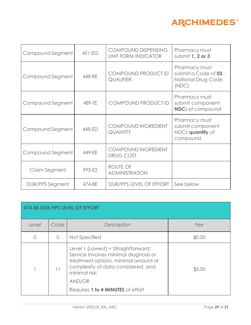

| Compound Segment | $451-EG$ | COMPOUND DISPENSING<br>UNIT FORM INDICATOR | Pharmacy must<br>submit 1, 2 or 3                                     |
|------------------|----------|--------------------------------------------|-----------------------------------------------------------------------|
| Compound Segment | 448-RE   | COMPOUND PRODUCT ID<br><b>QUALIFIER</b>    | Pharmacy must<br>submit a Code of 03 -<br>National Drug Code<br>(NDC) |
| Compound Segment | 489-TE   | COMPOUND PRODUCT ID                        | Pharmacy must<br>submit component<br><b>NDC</b> s of compound         |
| Compound Segment | 448-ED   | COMPOUND INGREDIENT<br><b>QUANTITY</b>     | Pharmacy must<br>submit component<br>NDCs quantity of<br>compound     |
| Compound Segment | 449-EE   | COMPOUND INGREDIENT<br><b>DRUG COST</b>    |                                                                       |
| Claim Segment    | 995-E2   | ROUTE OF<br><b>ADMINISTRATION</b>          |                                                                       |
| DUR/PPS Segment  | 474-8E   | DUR/PPS LEVEL OF EFFORT                    | See below                                                             |

| 474-8E DUR/PPS LEVEL OF EFFORT |           |                                                                                                                                                                                                                            |        |  |  |
|--------------------------------|-----------|----------------------------------------------------------------------------------------------------------------------------------------------------------------------------------------------------------------------------|--------|--|--|
| Level                          | Code      | Description                                                                                                                                                                                                                | Fee    |  |  |
|                                | $\bigcap$ | Not Specified                                                                                                                                                                                                              | \$0.00 |  |  |
|                                | 11        | Level 1 (Lowest) = Straightforward:<br>Service involves minimal diagnosis or<br>treatment options, minimal amount or<br>complexity of data considered, and<br>minimal risk;<br>AND/OR<br>Requires 1 to 4 MINUTES of effort | \$5.00 |  |  |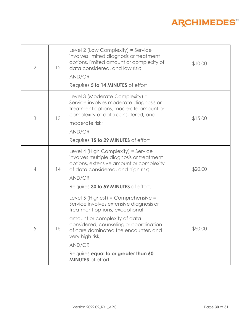### **ARCHIMEDES**™

| $\overline{2}$ | 12 | Level 2 (Low Complexity) = Service<br>involves limited diagnosis or treatment<br>options, limited amount or complexity of<br>data considered, and low risk;<br>AND/OR<br>Requires 5 to 14 MINUTES of effort                                                                                                                         | \$10.00 |
|----------------|----|-------------------------------------------------------------------------------------------------------------------------------------------------------------------------------------------------------------------------------------------------------------------------------------------------------------------------------------|---------|
| 3              | 13 | Level 3 (Moderate Complexity) =<br>Service involves moderate diagnosis or<br>treatment options, moderate amount or<br>complexity of data considered, and<br>moderate risk;<br>AND/OR<br>Requires 15 to 29 MINUTES of effort                                                                                                         | \$15.00 |
| 4              | 14 | Level 4 (High Complexity) = Service<br>involves multiple diagnosis or treatment<br>options, extensive amount or complexity<br>of data considered, and high risk;<br>AND/OR<br>Requires 30 to 59 MINUTES of effort.                                                                                                                  | \$20.00 |
| 5              | 15 | Level 5 (Highest) = Comprehensive =<br>Service involves extensive diagnosis or<br>treatment options, exceptional<br>amount or complexity of data<br>considered, counseling or coordination<br>of care dominated the encounter, and<br>very high risk;<br>AND/OR<br>Requires equal to or greater than 60<br><b>MINUTES</b> of effort | \$50.00 |